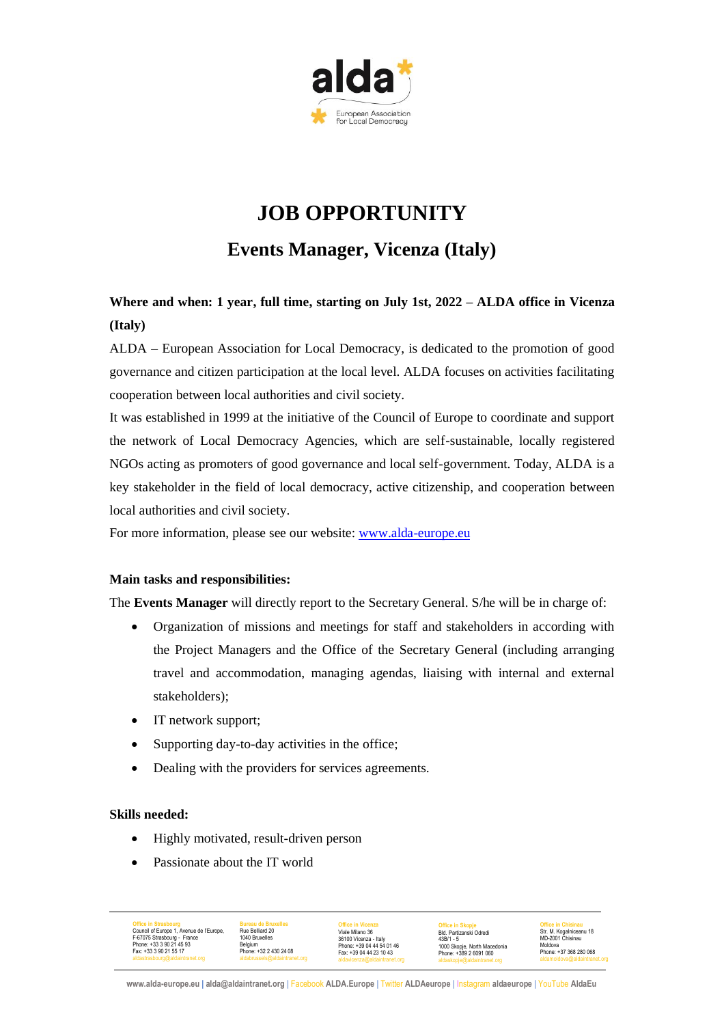

# **JOB OPPORTUNITY**

**Events Manager, Vicenza (Italy)**

**Where and when: 1 year, full time, starting on July 1st, 2022 – ALDA office in Vicenza (Italy)**

ALDA – European Association for Local Democracy, is dedicated to the promotion of good governance and citizen participation at the local level. ALDA focuses on activities facilitating cooperation between local authorities and civil society.

It was established in 1999 at the initiative of the Council of Europe to coordinate and support the network of Local Democracy Agencies, which are self-sustainable, locally registered NGOs acting as promoters of good governance and local self-government. Today, ALDA is a key stakeholder in the field of local democracy, active citizenship, and cooperation between local authorities and civil society.

For more information, please see our website: www.alda-europe.eu

# **Main tasks and responsibilities:**

The **Events Manager** will directly report to the Secretary General. S/he will be in charge of:

- Organization of missions and meetings for staff and stakeholders in according with the Project Managers and the Office of the Secretary General (including arranging travel and accommodation, managing agendas, liaising with internal and external stakeholders);
- IT network support;
- Supporting day-to-day activities in the office;
- Dealing with the providers for services agreements.

### **Skills needed:**

- Highly motivated, result-driven person
- Passionate about the IT world

| <b>Office in Strasbourg</b>              | <b>Bureau de Bruxelles</b>    | <b>Office in Vicenza</b>     | <b>Office in Skopje</b>      | <b>Office in Chisinau</b>    |
|------------------------------------------|-------------------------------|------------------------------|------------------------------|------------------------------|
| Council of Europe 1, Avenue de l'Europe, | Rue Belliard 20               | Viale Milano 36              | Bld, Partizanski Odredi      | Str. M. Kogalniceanu 18      |
| F-67075 Strasbourg - France              | 1040 Bruxelles                | 36100 Vicenza - Italy        | $43B/1 - 5$                  | MD-2001 Chisinau             |
| Phone: +33 3 90 21 45 93                 | Belaium                       | Phone: +39 04 44 54 01 46    | 1000 Skopje, North Macedonia | Moldova                      |
| Fax: +33 3 90 21 55 17                   | Phone: +32 2 430 24 08        | Fax: +39 04 44 23 10 43      | Phone: +389 2 6091 060       | Phone: +37 368 280 068       |
| aldastrasbourg@aldaintranet.org          | aldabrussels@aldaintranet.org | aldavicenza@aldaintranet.org | aldaskopje@aldaintranet.org  | aldamoldova@aldaintranet.org |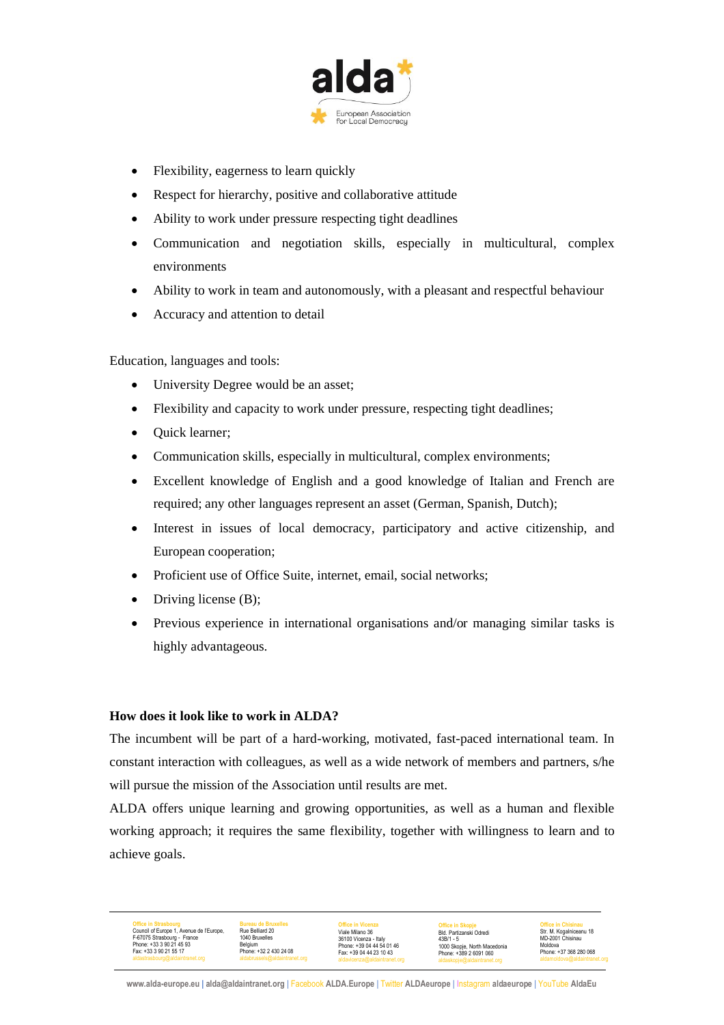

- Flexibility, eagerness to learn quickly
- Respect for hierarchy, positive and collaborative attitude
- Ability to work under pressure respecting tight deadlines
- Communication and negotiation skills, especially in multicultural, complex environments
- Ability to work in team and autonomously, with a pleasant and respectful behaviour
- Accuracy and attention to detail

Education, languages and tools:

- University Degree would be an asset;
- Flexibility and capacity to work under pressure, respecting tight deadlines;
- Quick learner;
- Communication skills, especially in multicultural, complex environments;
- Excellent knowledge of English and a good knowledge of Italian and French are required; any other languages represent an asset (German, Spanish, Dutch);
- Interest in issues of local democracy, participatory and active citizenship, and European cooperation;
- Proficient use of Office Suite, internet, email, social networks;
- Driving license (B);

**Office in Strasbourg** Council of Europe 1, Avenue de l'Europe, F-67075 Strasbourg - France Phone: +33 3 90 21 45 93 Fax: +33 3 90 21 55 17

• Previous experience in international organisations and/or managing similar tasks is highly advantageous.

### **How does it look like to work in ALDA?**

The incumbent will be part of a hard-working, motivated, fast-paced international team. In constant interaction with colleagues, as well as a wide network of members and partners, s/he will pursue the mission of the Association until results are met.

ALDA offers unique learning and growing opportunities, as well as a human and flexible working approach; it requires the same flexibility, together with willingness to learn and to achieve goals.

> **Office in Chisinau** Str. M. Kogalniceanu 18 MD-2001 Chisinau Moldova Phone: +37 368 280 068

**Bureau de Bruxelles** Rue Belliard 20 1040 Bruxelles Belgium Phone: +32 2 430 24 08